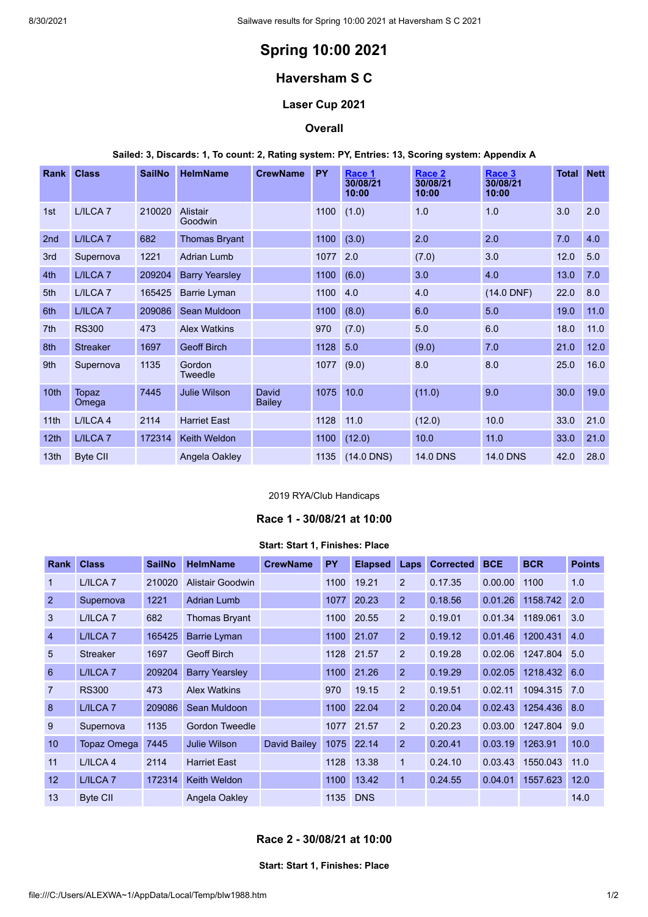# **Spring 10:00 2021**

## **Haversham S C**

## **Laser Cup 2021**

#### **Overall**

## **Sailed: 3, Discards: 1, To count: 2, Rating system: PY, Entries: 13, Scoring system: Appendix A**

| <b>Rank</b>      | <b>Class</b>        | <b>SailNo</b> | <b>HelmName</b>       | <b>CrewName</b>        | <b>PY</b> | Race 1<br>30/08/21<br>10:00 | Race 2<br>30/08/21<br>10:00 | Race 3<br>30/08/21<br>10:00 | Total | <b>Nett</b> |
|------------------|---------------------|---------------|-----------------------|------------------------|-----------|-----------------------------|-----------------------------|-----------------------------|-------|-------------|
| 1st              | L/ILCA <sub>7</sub> | 210020        | Alistair<br>Goodwin   |                        | 1100      | (1.0)                       | 1.0                         | 1.0                         | 3.0   | 2.0         |
| 2 <sub>nd</sub>  | L/ILCA <sub>7</sub> | 682           | <b>Thomas Bryant</b>  |                        | 1100      | (3.0)                       | 2.0                         | 2.0                         | 7.0   | 4.0         |
| 3rd              | Supernova           | 1221          | <b>Adrian Lumb</b>    |                        | 1077      | 2.0                         | (7.0)                       | 3.0                         | 12.0  | 5.0         |
| 4th              | L/ILCA <sub>7</sub> | 209204        | <b>Barry Yearsley</b> |                        | 1100      | (6.0)                       | 3.0                         | 4.0                         | 13.0  | 7.0         |
| 5th              | L/ILCA <sub>7</sub> | 165425        | Barrie Lyman          |                        | 1100      | 4.0                         | 4.0                         | $(14.0$ DNF)                | 22.0  | 8.0         |
| 6th              | L/ILCA <sub>7</sub> | 209086        | Sean Muldoon          |                        | 1100      | (8.0)                       | 6.0                         | 5.0                         | 19.0  | 11.0        |
| 7 <sup>th</sup>  | <b>RS300</b>        | 473           | <b>Alex Watkins</b>   |                        | 970       | (7.0)                       | 5.0                         | 6.0                         | 18.0  | 11.0        |
| 8th              | <b>Streaker</b>     | 1697          | <b>Geoff Birch</b>    |                        | 1128      | 5.0                         | (9.0)                       | 7.0                         | 21.0  | 12.0        |
| 9th              | Supernova           | 1135          | Gordon<br>Tweedle     |                        | 1077      | (9.0)                       | 8.0                         | 8.0                         | 25.0  | 16.0        |
| 10 <sub>th</sub> | Topaz<br>Omega      | 7445          | <b>Julie Wilson</b>   | David<br><b>Bailey</b> | 1075      | 10.0                        | (11.0)                      | 9.0                         | 30.0  | 19.0        |
| 11th             | L/ILCA 4            | 2114          | <b>Harriet East</b>   |                        | 1128      | 11.0                        | (12.0)                      | 10.0                        | 33.0  | 21.0        |
| 12 <sub>th</sub> | L/ILCA <sub>7</sub> | 172314        | <b>Keith Weldon</b>   |                        | 1100      | (12.0)                      | 10.0                        | 11.0                        | 33.0  | 21.0        |
| 13th             | <b>Byte CII</b>     |               | Angela Oakley         |                        | 1135      | $(14.0$ DNS)                | <b>14.0 DNS</b>             | <b>14.0 DNS</b>             | 42.0  | 28.0        |

## 2019 RYA/Club Handicaps

## **Race 1 - 30/08/21 at 10:00**

#### **Start: Start 1, Finishes: Place**

<span id="page-0-0"></span>

| <b>Rank</b>    | <b>Class</b>        | <b>SailNo</b> | <b>HelmName</b>       | <b>CrewName</b> | <b>PY</b> | <b>Elapsed</b> | Laps           | <b>Corrected</b> | <b>BCE</b> | <b>BCR</b>       | <b>Points</b> |
|----------------|---------------------|---------------|-----------------------|-----------------|-----------|----------------|----------------|------------------|------------|------------------|---------------|
| $\overline{1}$ | L/ILCA <sub>7</sub> | 210020        | Alistair Goodwin      |                 | 1100      | 19.21          | 2              | 0.17.35          | 0.00.00    | 1100             | 1.0           |
| 2              | Supernova           | 1221          | <b>Adrian Lumb</b>    |                 | 1077      | 20.23          | $\overline{2}$ | 0.18.56          | 0.01.26    | 1158.742         | 2.0           |
| 3              | L/ILCA <sub>7</sub> | 682           | <b>Thomas Bryant</b>  |                 | 1100      | 20.55          | 2              | 0.19.01          | 0.01.34    | 1189.061         | 3.0           |
| $\overline{4}$ | L/ILCA <sub>7</sub> | 165425        | <b>Barrie Lyman</b>   |                 | 1100      | 21.07          | $\overline{2}$ | 0.19.12          | 0.01.46    | 1200.431         | 4.0           |
| $5\phantom{1}$ | <b>Streaker</b>     | 1697          | <b>Geoff Birch</b>    |                 | 1128      | 21.57          | $\overline{2}$ | 0.19.28          | 0.02.06    | 1247.804         | 5.0           |
| 6              | L/ILCA <sub>7</sub> | 209204        | <b>Barry Yearsley</b> |                 | 1100      | 21.26          | $\overline{2}$ | 0.19.29          | 0.02.05    | 1218.432         | 6.0           |
| $\overline{7}$ | <b>RS300</b>        | 473           | <b>Alex Watkins</b>   |                 | 970       | 19.15          | 2              | 0.19.51          | 0.02.11    | 1094.315         | 7.0           |
| 8              | L/ILCA <sub>7</sub> | 209086        | Sean Muldoon          |                 | 1100      | 22.04          | $\overline{2}$ | 0.20.04          |            | 0.02.43 1254.436 | 8.0           |
| 9              | Supernova           | 1135          | Gordon Tweedle        |                 | 1077      | 21.57          | 2              | 0.20.23          | 0.03.00    | 1247.804         | 9.0           |
| 10             | Topaz Omega         | 7445          | <b>Julie Wilson</b>   | David Bailey    | 1075      | 22.14          | 2              | 0.20.41          | 0.03.19    | 1263.91          | 10.0          |
| 11             | L/ILCA 4            | 2114          | <b>Harriet East</b>   |                 | 1128      | 13.38          | $\mathbf{1}$   | 0.24.10          | 0.03.43    | 1550.043         | 11.0          |
| 12             | L/ILCA <sub>7</sub> | 172314        | <b>Keith Weldon</b>   |                 | 1100      | 13.42          | $\mathbf 1$    | 0.24.55          | 0.04.01    | 1557.623         | 12.0          |
| 13             | <b>Byte CII</b>     |               | Angela Oakley         |                 | 1135      | <b>DNS</b>     |                |                  |            |                  | 14.0          |

## <span id="page-0-1"></span>**Race 2 - 30/08/21 at 10:00**

#### **Start: Start 1, Finishes: Place**